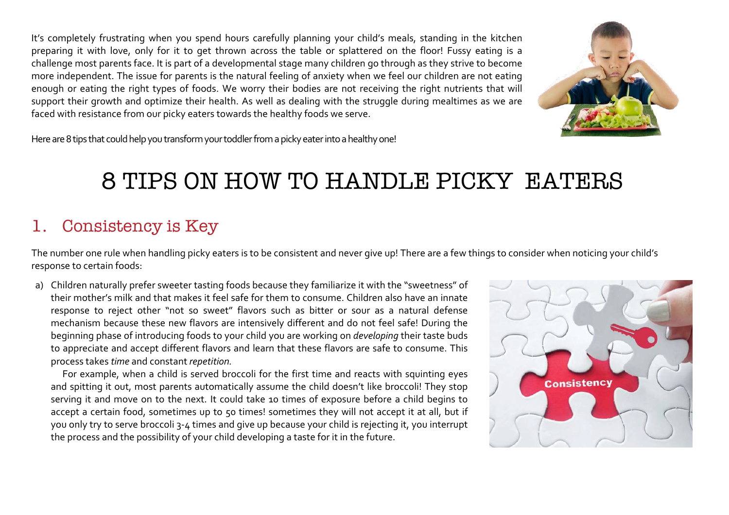It's completely frustrating when you spend hours carefully planning your child's meals, standing in the kitchen preparing it with love, only for it to get thrown across the table or splattered on the floor! Fussy eating is a challenge most parents face. It is part of a developmental stage many children go through as they strive to become more independent. The issue for parents is the natural feeling of anxiety when we feel our children are not eating enough or eating the right types of foods. We worry their bodies are not receiving the right nutrients that will support their growth and optimize their health. As well as dealing with the struggle during mealtimes as we are faced with resistance from our picky eaters towards the healthy foods we serve.



Here are 8 tips that could help you transform your toddler from a picky eater into a healthy one!

# 8 TIPS ON HOW TO HANDLE PICKY EATERS

#### 1. Consistency is Key

The number one rule when handling picky eaters is to be consistent and never give up! There are a few things to consider when noticing your child's response to certain foods:

a) Children naturally prefer sweeter tasting foods because they familiarize it with the "sweetness" of their mother's milk and that makes it feel safe for them to consume. Children also have an innate response to reject other "not so sweet" flavors such as bitter or sour as a natural defense mechanism because these new flavors are intensively different and do not feel safe! During the beginning phase of introducing foods to your child you are working on *developing* their taste buds to appreciate and accept different flavors and learn that these flavors are safe to consume. This process takes *time* and constant *repetition.*

For example, when a child is served broccoli for the first time and reacts with squinting eyes and spitting it out, most parents automatically assume the child doesn't like broccoli! They stop serving it and move on to the next. It could take 10 times of exposure before a child begins to accept a certain food, sometimes up to 50 times! sometimes they will not accept it at all, but if you only try to serve broccoli 3-4 times and give up because your child is rejecting it, you interrupt the process and the possibility of your child developing a taste for it in the future.

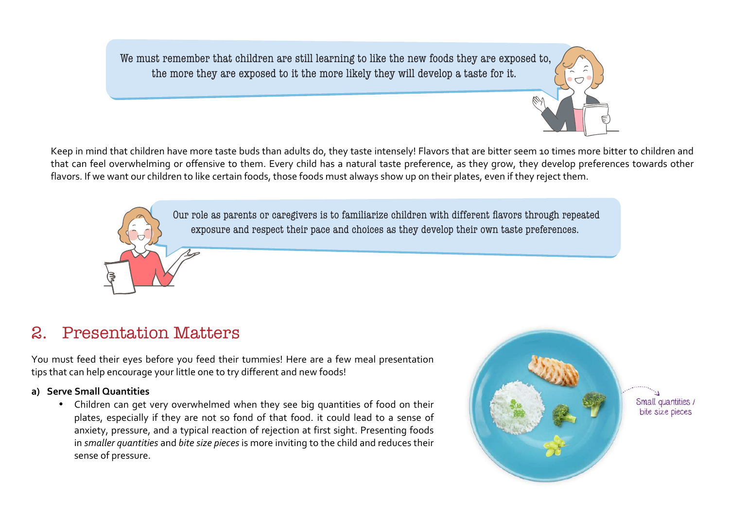We must remember that children are still learning to like the new foods they are exposed to, the more they are exposed to it the more likely they will develop a taste for it.

Keep in mind that children have more taste buds than adults do, they taste intensely! Flavors that are bitter seem 10 times more bitter to children and that can feel overwhelming or offensive to them. Every child has a natural taste preference, as they grow, they develop preferences towards other flavors. If we want our children to like certain foods, those foods must always show up on their plates, even if they reject them.

> Our role as parents or caregivers is to familiarize children with different flavors through repeated exposure and respect their pace and choices as they develop their own taste preferences.

## 2. Presentation Matters

You must feed their eyes before you feed their tummies! Here are a few meal presentation tips that can help encourage your little one to try different and new foods!

#### a) **Serve Small Quantities**

• Children can get very overwhelmed when they see big quantities of food on their plates, especially if they are not so fond of that food. it could lead to a sense of anxiety, pressure, and a typical reaction of rejection at first sight. Presenting foods in *smaller quantities* and *bite size pieces* is more inviting to the child and reduces their sense of pressure.

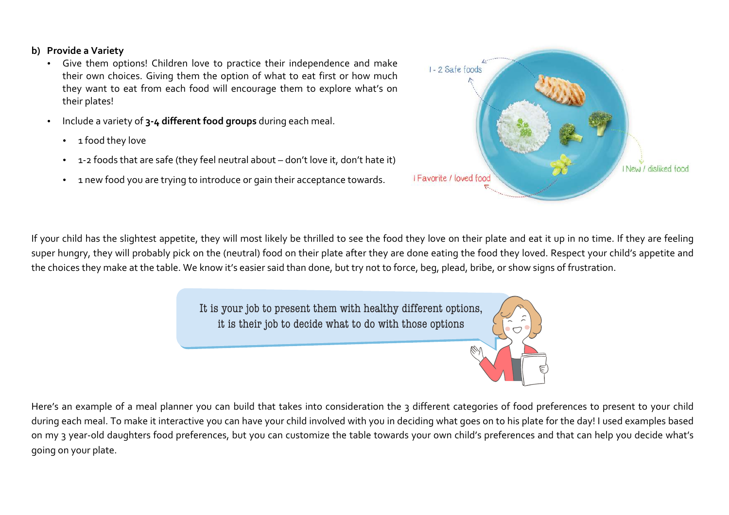#### **b)** Provide a Variety

- Give them options! Children love to practice their independence and make their own choices. Giving them the option of what to eat first or how much they want to eat from each food will encourage them to explore what's on their plates!
- Include a variety of 3-4 different food groups during each meal.
	- 1 food they love
	- 1-2 foods that are safe (they feel neutral about don't love it, don't hate it)
	- 1 new food you are trying to introduce or gain their acceptance towards.



If your child has the slightest appetite, they will most likely be thrilled to see the food they love on their plate and eat it up in no time. If they are feeling super hungry, they will probably pick on the (neutral) food on their plate after they are done eating the food they loved. Respect your child's appetite and the choices they make at the table. We know it's easier said than done, but try not to force, beg, plead, bribe, or show signs of frustration.

> It is your job to present them with healthy different options, it is their job to decide what to do with those options

Here's an example of a meal planner you can build that takes into consideration the 3 different categories of food preferences to present to your child during each meal. To make it interactive you can have your child involved with you in deciding what goes on to his plate for the day! I used examples based on my 3 year-old daughters food preferences, but you can customize the table towards your own child's preferences and that can help you decide what's going on your plate.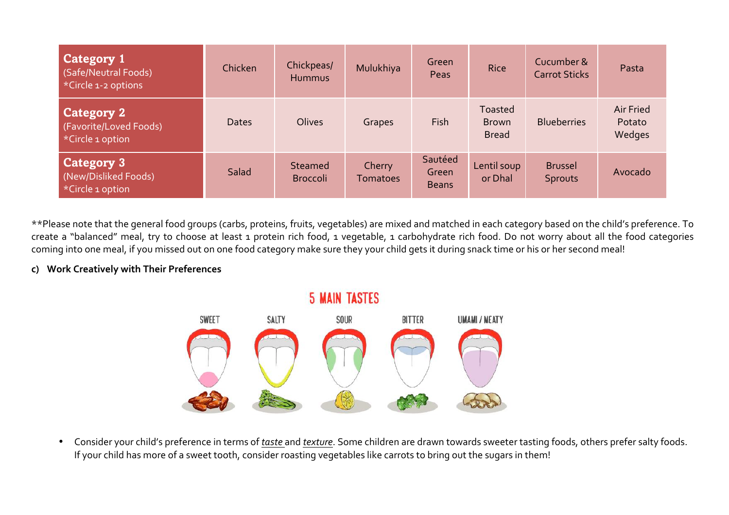| <b>Category 1</b><br>(Safe/Neutral Foods)<br>*Circle 1-2 options | Chicken      | Chickpeas/<br>Hummus       | Mulukhiya                 | Green<br>Peas                    | Rice                                    | Cucumber &<br><b>Carrot Sticks</b> | Pasta                                |
|------------------------------------------------------------------|--------------|----------------------------|---------------------------|----------------------------------|-----------------------------------------|------------------------------------|--------------------------------------|
| <b>Category 2</b><br>(Favorite/Loved Foods)<br>*Circle 1 option  | <b>Dates</b> | Olives                     | Grapes                    | Fish                             | Toasted<br><b>Brown</b><br><b>Bread</b> | <b>Blueberries</b>                 | <b>Air Fried</b><br>Potato<br>Wedges |
| <b>Category 3</b><br>(New/Disliked Foods)<br>*Circle 1 option    | Salad        | Steamed<br><b>Broccoli</b> | Cherry<br><b>Tomatoes</b> | Sautéed<br>Green<br><b>Beans</b> | Lentil soup<br>or Dhal                  | <b>Brussel</b><br><b>Sprouts</b>   | Avocado                              |

\*\*Please note that the general food groups (carbs, proteins, fruits, vegetables) are mixed and matched in each category based on the child's preference. To create a "balanced" meal, try to choose at least 1 protein rich food, 1 vegetable, 1 carbohydrate rich food. Do not worry about all the food categories coming into one meal, if you missed out on one food category make sure they your child gets it during snack time or his or her second meal!

#### **c) Work Creatively with Their Preferences**



• Consider your child's preference in terms of *taste* and *texture*. Some children are drawn towards sweeter tasting foods, others prefer salty foods. If your child has more of a sweet tooth, consider roasting vegetables like carrots to bring out the sugars in them!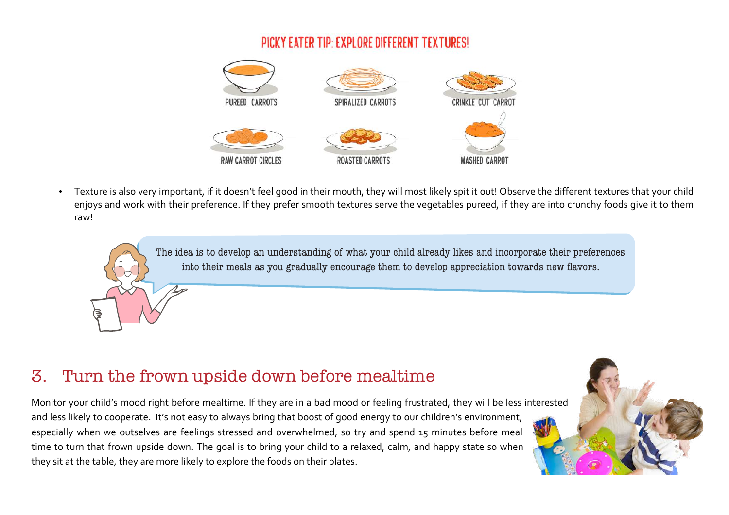#### PICKY EATER TIP: EXPLORE DIFFERENT TEXTURES!



• Texture is also very important, if it doesn't feel good in their mouth, they will most likely spit it out! Observe the different textures that your child enjoys and work with their preference. If they prefer smooth textures serve the vegetables pureed, if they are into crunchy foods give it to them raw!

> The idea is to develop an understanding of what your child already likes and incorporate their preferences into their meals as you gradually encourage them to develop appreciation towards new flavors.

### 3. Turn the frown upside down before mealtime

Monitor your child's mood right before mealtime. If they are in a bad mood or feeling frustrated, they will be less interested and less likely to cooperate. It's not easy to always bring that boost of good energy to our children's environment, especially when we outselves are feelings stressed and overwhelmed, so try and spend 15 minutes before meal time to turn that frown upside down. The goal is to bring your child to a relaxed, calm, and happy state so when they sit at the table, they are more likely to explore the foods on their plates.

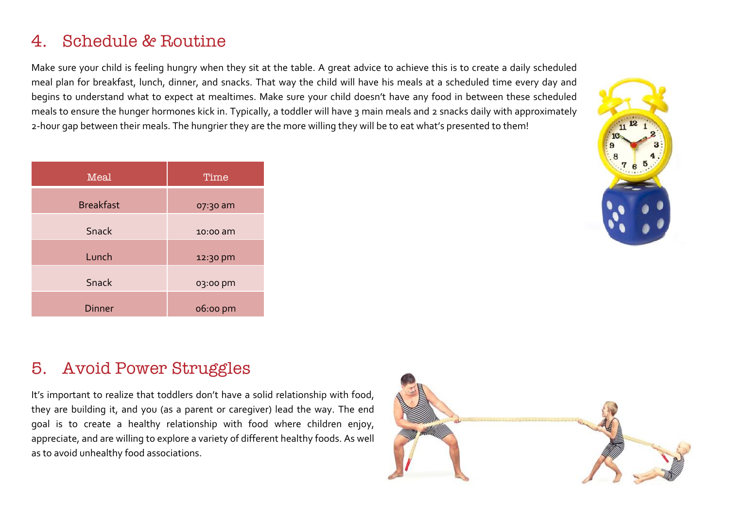### 4. Schedule & Routine

Make sure your child is feeling hungry when they sit at the table. A great advice to achieve this is to create a daily scheduled meal plan for breakfast, lunch, dinner, and snacks. That way the child will have his meals at a scheduled time every day and begins to understand what to expect at mealtimes. Make sure your child doesn't have any food in between these scheduled meals to ensure the hunger hormones kick in. Typically, a toddler will have 3 main meals and 2 snacks daily with approximately 2-hour gap between their meals. The hungrier they are the more willing they will be to eat what's presented to them!

| Meal             | Time     |  |  |
|------------------|----------|--|--|
| <b>Breakfast</b> | 07:30 am |  |  |
| Snack            | 10:00 am |  |  |
| Lunch            | 12:30 pm |  |  |
| Snack            | 03:00 pm |  |  |
| <b>Dinner</b>    | 06:00 pm |  |  |



### 5. Avoid Power Struggles

It's important to realize that toddlers don't have a solid relationship with food, they are building it, and you (as a parent or caregiver) lead the way. The end goal is to create a healthy relationship with food where children enjoy, appreciate, and are willing to explore a variety of different healthy foods. As well as to avoid unhealthy food associations.

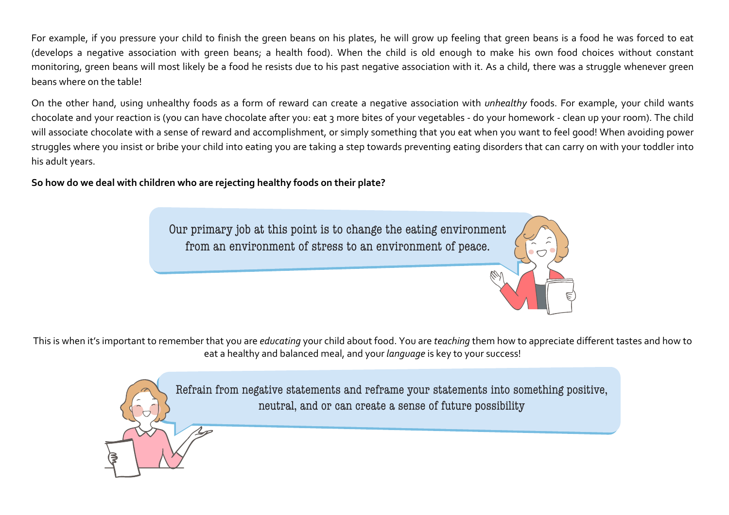For example, if you pressure your child to finish the green beans on his plates, he will grow up feeling that green beans is a food he was forced to eat (develops a negative association with green beans; a health food). When the child is old enough to make his own food choices without constant monitoring, green beans will most likely be a food he resists due to his past negative association with it. As a child, there was a struggle whenever green beans where on the table!

On the other hand, using unhealthy foods as a form of reward can create a negative association with *unhealthy* foods. For example, your child wants chocolate and your reaction is (you can have chocolate after you: eat 3 more bites of your vegetables - do your homework - clean up your room). The child will associate chocolate with a sense of reward and accomplishment, or simply something that you eat when you want to feel good! When avoiding power struggles where you insist or bribe your child into eating you are taking a step towards preventing eating disorders that can carry on with your toddler into his adult years.

So how do we deal with children who are rejecting healthy foods on their plate?

Our primary job at this point is to change the eating environment from an environment of stress to an environment of peace.

This is when it's important to remember that you are *educating* your child about food. You are *teaching* them how to appreciate different tastes and how to eat a healthy and balanced meal, and your *language* is key to your success!

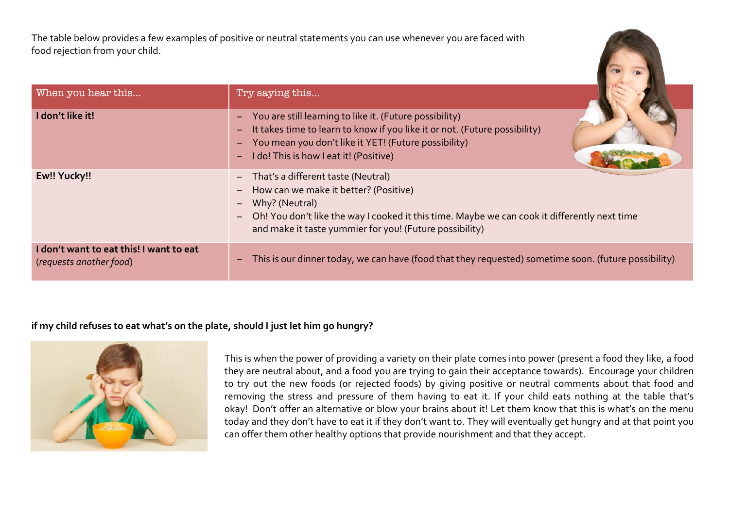The table below provides a few examples of positive or neutral statements you can use whenever you are faced with food rejection from your child.

| When you hear this                                                 | Try saying this                                                                                                                                                                                                                                                                                                                                |
|--------------------------------------------------------------------|------------------------------------------------------------------------------------------------------------------------------------------------------------------------------------------------------------------------------------------------------------------------------------------------------------------------------------------------|
| I don't like it!                                                   | - You are still learning to like it. (Future possibility)<br>It takes time to learn to know if you like it or not. (Future possibility)<br>$\qquad \qquad -$<br>You mean you don't like it YET! (Future possibility)<br>-<br>I do! This is how I eat it! (Positive)<br>$\overline{\phantom{0}}$                                                |
| Ew!! Yucky!!                                                       | That's a different taste (Neutral)<br>$ \,$<br>How can we make it better? (Positive)<br>$\overline{\phantom{m}}$<br>Why? (Neutral)<br>$\qquad \qquad -$<br>Oh! You don't like the way I cooked it this time. Maybe we can cook it differently next time<br>$\overline{\phantom{m}}$<br>and make it taste yummier for you! (Future possibility) |
| I don't want to eat this! I want to eat<br>(requests another food) | This is our dinner today, we can have (food that they requested) sometime soon. (future possibility)<br>$\qquad \qquad -$                                                                                                                                                                                                                      |

#### **if my child refuses to eat what's on the plate, should I just let him go hungry?**



This is when the power of providing a variety on their plate comes into power (present a food they like, a food they are neutral about, and a food you are trying to gain their acceptance towards). Encourage your children to try out the new foods (or rejected foods) by giving positive or neutral comments about that food and removing the stress and pressure of them having to eat it. If your child eats nothing at the table that's okay! Don't offer an alternative or blow your brains about it! Let them know that this is what's on the menu today and they don't have to eat it if they don't want to. They will eventually get hungry and at that point you can offer them other healthy options that provide nourishment and that they accept.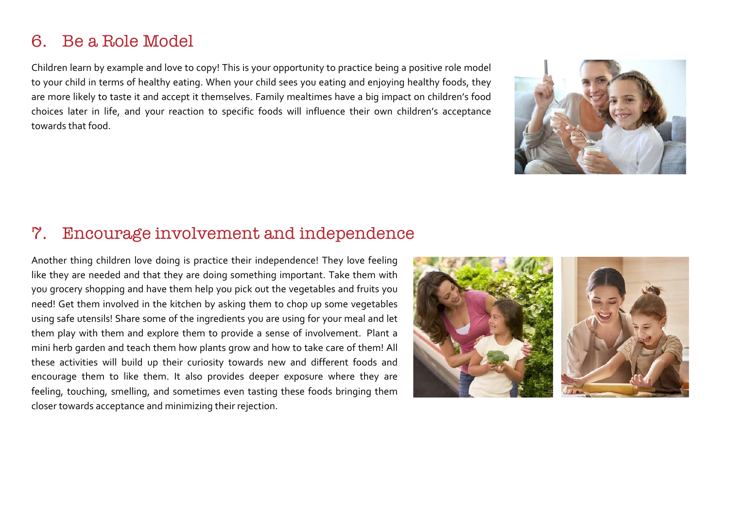#### 6. Be a Role Model

Children learn by example and love to copy! This is your opportunity to practice being a positive role model to your child in terms of healthy eating. When your child sees you eating and enjoying healthy foods, they are more likely to taste it and accept it themselves. Family mealtimes have a big impact on children's food choices later in life, and your reaction to specific foods will influence their own children's acceptance towards that food.



#### 7. Encourage involvement and independence

Another thing children love doing is practice their independence! They love feeling like they are needed and that they are doing something important. Take them with you grocery shopping and have them help you pick out the vegetables and fruits you need! Get them involved in the kitchen by asking them to chop up some vegetables using safe utensils! Share some of the ingredients you are using for your meal and let them play with them and explore them to provide a sense of involvement. Plant a mini herb garden and teach them how plants grow and how to take care of them! All these activities will build up their curiosity towards new and different foods and encourage them to like them. It also provides deeper exposure where they are feeling, touching, smelling, and sometimes even tasting these foods bringing them closer towards acceptance and minimizing their rejection.